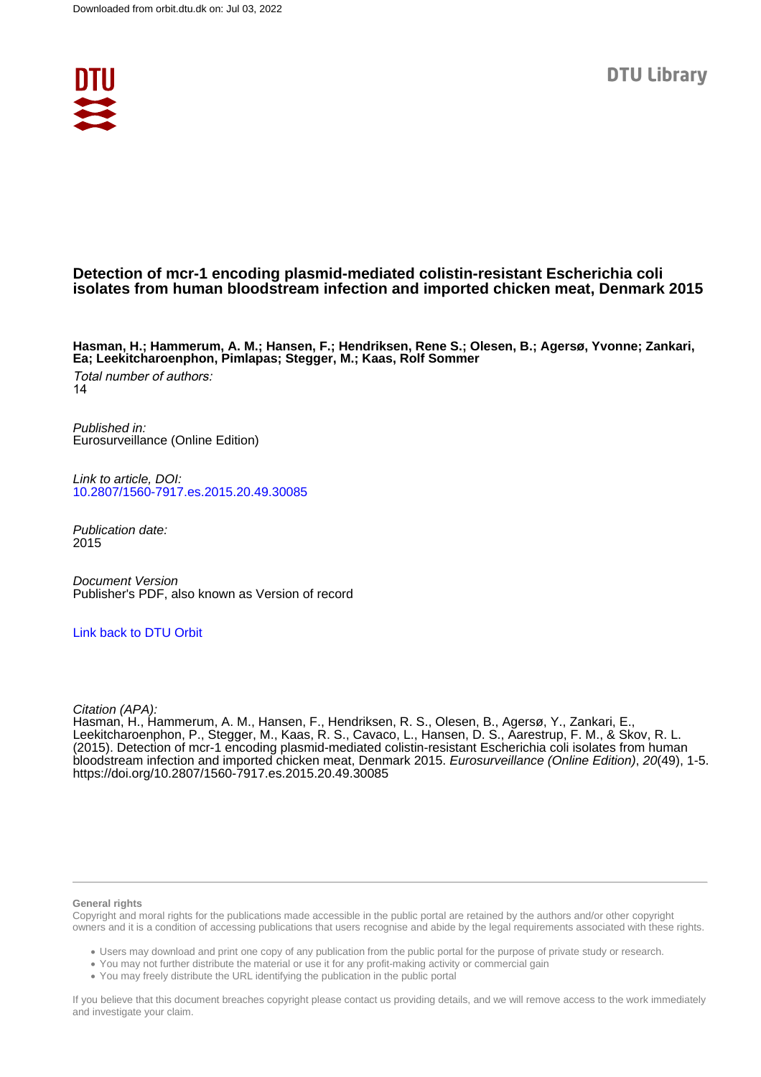

# **Detection of mcr-1 encoding plasmid-mediated colistin-resistant Escherichia coli isolates from human bloodstream infection and imported chicken meat, Denmark 2015**

**Hasman, H.; Hammerum, A. M.; Hansen, F.; Hendriksen, Rene S.; Olesen, B.; Agersø, Yvonne; Zankari, Ea; Leekitcharoenphon, Pimlapas; Stegger, M.; Kaas, Rolf Sommer**

Total number of authors: 14

Published in: Eurosurveillance (Online Edition)

Link to article, DOI: [10.2807/1560-7917.es.2015.20.49.30085](https://doi.org/10.2807/1560-7917.es.2015.20.49.30085)

Publication date: 2015

Document Version Publisher's PDF, also known as Version of record

[Link back to DTU Orbit](https://orbit.dtu.dk/en/publications/eaa43f58-b124-45f9-a5f0-eacf7094c1c0)

Citation (APA):

Hasman, H., Hammerum, A. M., Hansen, F., Hendriksen, R. S., Olesen, B., Agersø, Y., Zankari, E., Leekitcharoenphon, P., Stegger, M., Kaas, R. S., Cavaco, L., Hansen, D. S., Aarestrup, F. M., & Skov, R. L. (2015). Detection of mcr-1 encoding plasmid-mediated colistin-resistant Escherichia coli isolates from human bloodstream infection and imported chicken meat, Denmark 2015. Eurosurveillance (Online Edition), 20(49), 1-5. <https://doi.org/10.2807/1560-7917.es.2015.20.49.30085>

#### **General rights**

Copyright and moral rights for the publications made accessible in the public portal are retained by the authors and/or other copyright owners and it is a condition of accessing publications that users recognise and abide by the legal requirements associated with these rights.

Users may download and print one copy of any publication from the public portal for the purpose of private study or research.

- You may not further distribute the material or use it for any profit-making activity or commercial gain
- You may freely distribute the URL identifying the publication in the public portal

If you believe that this document breaches copyright please contact us providing details, and we will remove access to the work immediately and investigate your claim.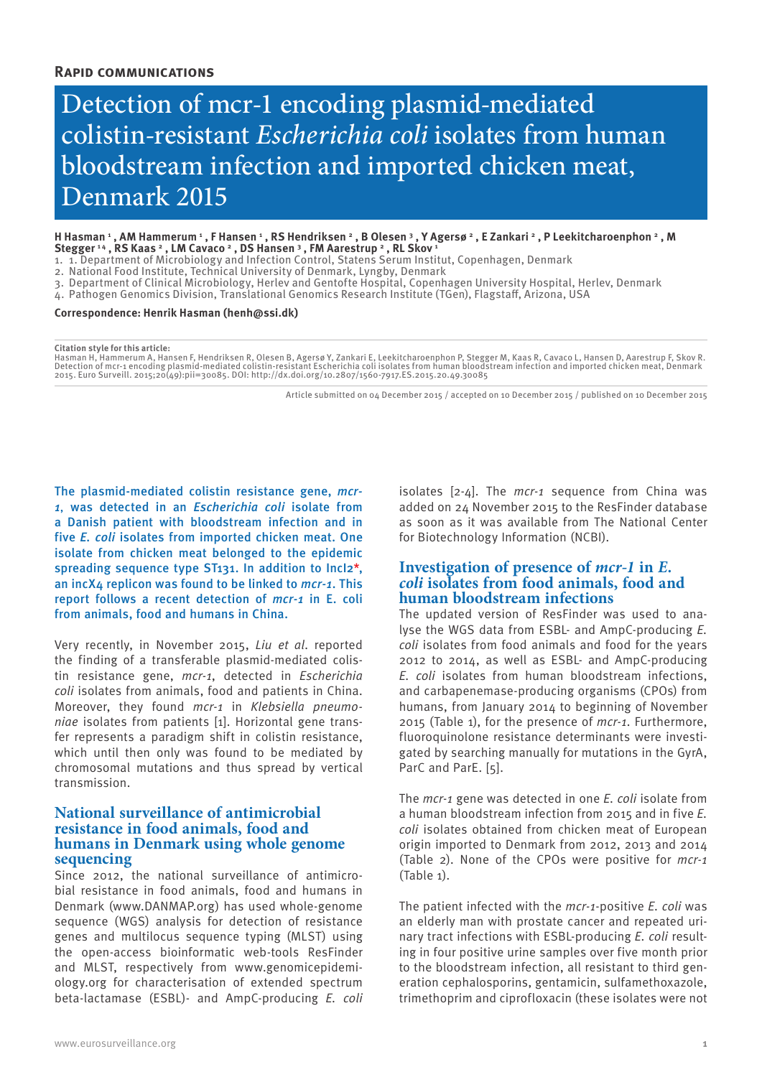# Detection of mcr-1 encoding plasmid-mediated colistin-resistant *Escherichia coli* isolates from human bloodstream infection and imported chicken meat, Denmark 2015

H Hasman ' , AM Hammerum ' , F Hansen ' , RS Hendriksen ' , B Olesen ' , Y Agersø ' , E Zankari ' , P Leekitcharoenphon ' , M **Stegger 1 4 , RS Kaas 2 , LM Cavaco 2 , DS Hansen 3 , FM Aarestrup 2 , RL Skov 1**

- 1. 1. Department of Microbiology and Infection Control, Statens Serum Institut, Copenhagen, Denmark
- 2. National Food Institute, Technical University of Denmark, Lyngby, Denmark
- 3. Department of Clinical Microbiology, Herlev and Gentofte Hospital, Copenhagen University Hospital, Herlev, Denmark
- 4. Pathogen Genomics Division, Translational Genomics Research Institute (TGen), Flagstaff, Arizona, USA

#### **Correspondence: Henrik Hasman (henh@ssi.dk)**

#### **Citation style for this article:**

Hasman H, Hammerum A, Hansen F, Hendriksen R, Olesen B, Agersø Y, Zankari E, Leekitcharoenphon P, Stegger M, Kaas R, Cavaco L, Hansen D, Aarestrup F, Skov R.<br>Detection of mcr-1 encoding plasmid-mediated colistin-resistant 2015. Euro Surveill. 2015;20(49):pii=30085. DOI: http://dx.doi.org/10.2807/1560-7917.ES.2015.20.49.30085

Article submitted on 04 December 2015 / accepted on 10 December 2015 / published on 10 December 2015

The plasmid-mediated colistin resistance gene, *mcr-1*, was detected in an *Escherichia coli* isolate from a Danish patient with bloodstream infection and in five *E. coli* isolates from imported chicken meat. One isolate from chicken meat belonged to the epidemic spreading sequence type ST131. In addition to Incl2\*, an incX4 replicon was found to be linked to *mcr-1*. This report follows a recent detection of *mcr-1* in E. coli from animals, food and humans in China.

Very recently, in November 2015, *Liu et al*. reported the finding of a transferable plasmid-mediated colistin resistance gene, *mcr-1*, detected in *Escherichia coli* isolates from animals, food and patients in China. Moreover, they found *mcr-1* in *Klebsiella pneumoniae* isolates from patients [1]. Horizontal gene transfer represents a paradigm shift in colistin resistance, which until then only was found to be mediated by chromosomal mutations and thus spread by vertical transmission.

# **National surveillance of antimicrobial resistance in food animals, food and humans in Denmark using whole genome sequencing**

Since 2012, the national surveillance of antimicrobial resistance in food animals, food and humans in Denmark (www.DANMAP.org) has used whole-genome sequence (WGS) analysis for detection of resistance genes and multilocus sequence typing (MLST) using the open-access bioinformatic web-tools ResFinder and MLST, respectively from www.genomicepidemiology.org for characterisation of extended spectrum beta-lactamase (ESBL)- and AmpC-producing *E. coli* isolates [2-4]. The *mcr-1* sequence from China was added on 24 November 2015 to the ResFinder database as soon as it was available from The National Center for Biotechnology Information (NCBI).

# **Investigation of presence of** *mcr-1* **in** *E. coli* **isolates from food animals, food and human bloodstream infections**

The updated version of ResFinder was used to analyse the WGS data from ESBL- and AmpC-producing *E. coli* isolates from food animals and food for the years 2012 to 2014, as well as ESBL- and AmpC-producing *E. coli* isolates from human bloodstream infections, and carbapenemase-producing organisms (CPOs) from humans, from January 2014 to beginning of November 2015 (Table 1), for the presence of *mcr-1*. Furthermore, fluoroquinolone resistance determinants were investigated by searching manually for mutations in the GyrA, ParC and ParE. [5].

The *mcr-1* gene was detected in one *E. coli* isolate from a human bloodstream infection from 2015 and in five *E. coli* isolates obtained from chicken meat of European origin imported to Denmark from 2012, 2013 and 2014 (Table 2). None of the CPOs were positive for *mcr-1* (Table 1).

The patient infected with the *mcr-1*-positive *E. coli* was an elderly man with prostate cancer and repeated urinary tract infections with ESBL-producing *E. coli* resulting in four positive urine samples over five month prior to the bloodstream infection, all resistant to third generation cephalosporins, gentamicin, sulfamethoxazole, trimethoprim and ciprofloxacin (these isolates were not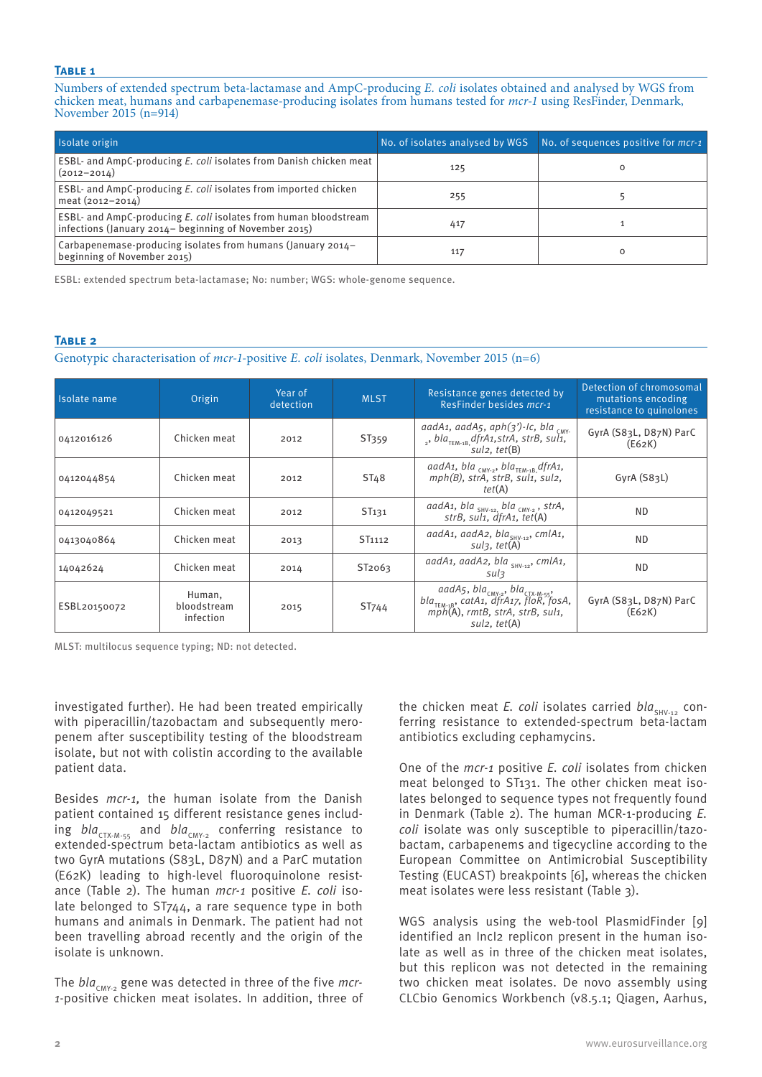## **Table 1**

Numbers of extended spectrum beta-lactamase and AmpC-producing *E. coli* isolates obtained and analysed by WGS from chicken meat, humans and carbapenemase-producing isolates from humans tested for *mcr-1* using ResFinder, Denmark, November 2015 (n=914)

| Isolate origin                                                                                                                   | No. of isolates analysed by WGS | No. of sequences positive for <i>mcr-1</i> |
|----------------------------------------------------------------------------------------------------------------------------------|---------------------------------|--------------------------------------------|
| ESBL- and AmpC-producing E. coli isolates from Danish chicken meat<br>$(2012 - 2014)$                                            | 125                             |                                            |
| ESBL- and AmpC-producing E. coli isolates from imported chicken<br>meat (2012-2014)                                              | 255                             |                                            |
| <b>ESBL-</b> and AmpC-producing E. coli isolates from human bloodstream<br>infections (January 2014– beginning of November 2015) | 417                             |                                            |
| Carbapenemase-producing isolates from humans (January 2014-<br>beginning of November 2015)                                       | 117                             |                                            |

ESBL: extended spectrum beta-lactamase; No: number; WGS: whole-genome sequence.

### **Table 2**

Genotypic characterisation of *mcr-1*-positive *E. coli* isolates, Denmark, November 2015 (n=6)

| Isolate name | Origin                             | Year of<br>detection | <b>MLST</b>        | Resistance genes detected by<br>ResFinder besides <i>mcr-1</i>                                                                                                   | Detection of chromosomal<br>mutations encoding<br>resistance to quinolones |
|--------------|------------------------------------|----------------------|--------------------|------------------------------------------------------------------------------------------------------------------------------------------------------------------|----------------------------------------------------------------------------|
| 0412016126   | Chicken meat                       | 2012                 | ST359              | aadA1, aadA5, aph(3')-Ic, bla <sub>CMY</sub> .<br><sub>2</sub> , bla <sub>TEM-1B</sub> , dfrA1, strA, strB, sul1,<br>sul2. tet(B)                                | GyrA (S83L, D87N) ParC<br>(E62K)                                           |
| 0412044854   | Chicken meat                       | 2012                 | ST <sub>48</sub>   | aadA1, bla <sub>CMY-2</sub> , bla <sub>TEM-1B,</sub> dfrA1,<br>mph(B), strA, strB, sul1, sul2,<br>tet(A)                                                         | GyrA (S83L)                                                                |
| 0412049521   | Chicken meat                       | 2012                 | ST <sub>131</sub>  | aadA1, bla $_{\text{SHV-12}, \text{bla}}$ $_{\text{CMY-2}}$ , strA,<br>strB, sul1, dfrA1, tet(A)                                                                 | ND.                                                                        |
| 0413040864   | Chicken meat                       | 2013                 | ST <sub>1112</sub> | aadA1, aadA2, bla <sub>SHV-12</sub> , cmlA1,<br>$suls. \, tet(A)$                                                                                                | <b>ND</b>                                                                  |
| 14042624     | Chicken meat                       | 2014                 | ST2063             | aadA1, aadA2, bla <sub>SHV-12</sub> , cmlA1,<br>sul3                                                                                                             | <b>ND</b>                                                                  |
| ESBL20150072 | Human,<br>bloodstream<br>infection | 2015                 | ST <sub>744</sub>  | aadA5, bla <sub>cMY-2</sub> , bla <sub>cTX-M-55</sub> ,<br>bla <sub>TEM-18</sub> , catA1, dfrA17, floR, fosA,<br>mph(A), rmtB, strA, strB, sul1,<br>sul2, tet(A) | GyrA (S83L, D87N) ParC<br>(E62K)                                           |

MLST: multilocus sequence typing; ND: not detected.

investigated further). He had been treated empirically with piperacillin/tazobactam and subsequently meropenem after susceptibility testing of the bloodstream isolate, but not with colistin according to the available patient data.

Besides *mcr-1,* the human isolate from the Danish patient contained 15 different resistance genes including *bla<sub>CTX-M-55</sub>* and *bla<sub>CMY-2</sub>* conferring resistance to extended-spectrum beta-lactam antibiotics as well as two GyrA mutations (S83L, D87N) and a ParC mutation (E62K) leading to high-level fluoroquinolone resistance (Table 2). The human *mcr-1* positive *E. coli* isolate belonged to ST744, a rare sequence type in both humans and animals in Denmark. The patient had not been travelling abroad recently and the origin of the isolate is unknown.

The *bla<sub>CMY-2</sub>* gene was detected in three of the five *mcr*-*1*-positive chicken meat isolates. In addition, three of the chicken meat *E. coli* isolates carried *bla*<sub>SHV-12</sub> conferring resistance to extended-spectrum beta-lactam antibiotics excluding cephamycins.

One of the *mcr-1* positive *E. coli* isolates from chicken meat belonged to ST131. The other chicken meat isolates belonged to sequence types not frequently found in Denmark (Table 2). The human MCR-1-producing *E. coli* isolate was only susceptible to piperacillin/tazobactam, carbapenems and tigecycline according to the European Committee on Antimicrobial Susceptibility Testing (EUCAST) breakpoints [6], whereas the chicken meat isolates were less resistant (Table 3).

WGS analysis using the web-tool PlasmidFinder [9] identified an Incl2 replicon present in the human isolate as well as in three of the chicken meat isolates, but this replicon was not detected in the remaining two chicken meat isolates. De novo assembly using CLCbio Genomics Workbench (v8.5.1; Qiagen, Aarhus,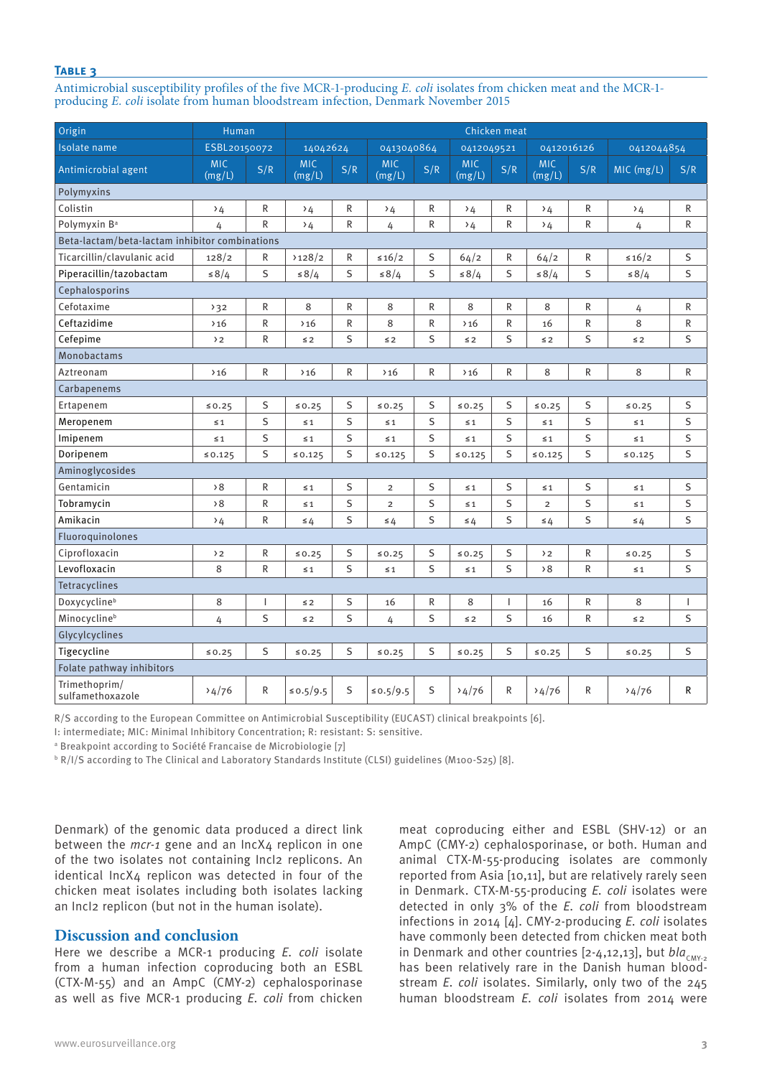## **Table 3**

Antimicrobial susceptibility profiles of the five MCR-1-producing *E. coli* isolates from chicken meat and the MCR-1 producing *E. coli* isolate from human bloodstream infection, Denmark November 2015

| Origin                                         | Human                |                |                      |     | Chicken meat         |              |                      |                |                      |     |                 |              |
|------------------------------------------------|----------------------|----------------|----------------------|-----|----------------------|--------------|----------------------|----------------|----------------------|-----|-----------------|--------------|
| Isolate name                                   | ESBL20150072         |                | 14042624             |     | 0413040864           |              | 0412049521           |                | 0412016126           |     | 0412044854      |              |
| Antimicrobial agent                            | <b>MIC</b><br>(mg/L) | S/R            | <b>MIC</b><br>(mg/L) | S/R | <b>MIC</b><br>(mg/L) | S/R          | <b>MIC</b><br>(mg/L) | S/R            | <b>MIC</b><br>(mg/L) | S/R | MIC (mg/L)      | S/R          |
| Polymyxins                                     |                      |                |                      |     |                      |              |                      |                |                      |     |                 |              |
| Colistin                                       | $\rightarrow$ 4      | R              | $\rightarrow$ 4      | R   | $\rightarrow$ 4      | ${\sf R}$    | $\rightarrow$ 4      | R              | $\rightarrow$ 4      | R   | $\rightarrow$ 4 | ${\sf R}$    |
| Polymyxin B <sup>a</sup>                       | 4                    | R              | $\rightarrow$ 4      | R   | 4                    | $\mathsf{R}$ | $\rightarrow$ 4      | R              | $\rightarrow$ 4      | R   | 4               | $\mathsf{R}$ |
| Beta-lactam/beta-lactam inhibitor combinations |                      |                |                      |     |                      |              |                      |                |                      |     |                 |              |
| Ticarcillin/clavulanic acid                    | 128/2                | R              | 3128/2               | R   | $\leq 16/2$          | S            | 64/2                 | R              | 64/2                 | R   | $\leq 16/2$     | $\sf S$      |
| Piperacillin/tazobactam                        | $\leq 8/4$           | S              | $\leq 8/4$           | S   | $\leq 8/4$           | S            | $\leq 8/4$           | S              | $\leq 8/4$           | S   | $\leq 8/4$      | S            |
| Cephalosporins                                 |                      |                |                      |     |                      |              |                      |                |                      |     |                 |              |
| Cefotaxime                                     | 32                   | R              | 8                    | R   | 8                    | $\mathsf R$  | 8                    | R              | 8                    | R   | 4               | ${\sf R}$    |
| Ceftazidime                                    | >16                  | R              | >16                  | R   | 8                    | $\mathsf{R}$ | >16                  | R              | 16                   | R   | 8               | R            |
| Cefepime                                       | $\rightarrow$ 2      | R              | $\leq 2$             | S   | $\leq 2$             | S            | $\leq 2$             | S              | $\leq 2$             | S   | $\leq 2$        | S            |
| <b>Monobactams</b>                             |                      |                |                      |     |                      |              |                      |                |                      |     |                 |              |
| Aztreonam                                      | >16                  | R              | >16                  | R   | >16                  | ${\sf R}$    | >16                  | R              | 8                    | R   | 8               | ${\sf R}$    |
| Carbapenems                                    |                      |                |                      |     |                      |              |                      |                |                      |     |                 |              |
| Ertapenem                                      | 50.25                | S              | 50.25                | S   | 50.25                | S            | 50.25                | S              | 50.25                | S   | 50.25           | S            |
| Meropenem                                      | $\leq 1$             | S              | $\leq 1$             | S   | $\leq 1$             | S            | $\leq 1$             | S              | $\leq 1$             | S   | $\leq 1$        | $\sf S$      |
| Imipenem                                       | $\leq 1$             | S              | $\leq 1$             | S   | $\leq 1$             | S            | $\leq 1$             | S              | $\leq 1$             | S   | $\leq 1$        | S            |
| Doripenem                                      | $\le 0.125$          | S              | 50.125               | S   | $\le 0.125$          | S            | 50.125               | S              | 50.125               | S   | $\le 0.125$     | S            |
| Aminoglycosides                                |                      |                |                      |     |                      |              |                      |                |                      |     |                 |              |
| Gentamicin                                     | $\rightarrow 8$      | R              | $\leq 1$             | S   | $\overline{2}$       | S            | $\leq 1$             | S              | $\leq 1$             | S   | $\leq 1$        | S            |
| Tobramycin                                     | 58                   | R              | $\leq 1$             | S   | $\overline{2}$       | S            | $\leq 1$             | S              | $\overline{2}$       | S   | $\leq 1$        | S            |
| Amikacin                                       | $\rightarrow$ 4      | ${\sf R}$      | $\leq 4$             | S   | $\leq 4$             | S            | $\leq 4$             | S              | $\leq 4$             | S   | $\leq 4$        | S            |
| Fluoroquinolones                               |                      |                |                      |     |                      |              |                      |                |                      |     |                 |              |
| Ciprofloxacin                                  | $\rightarrow$ 2      | R              | 50.25                | S   | 50.25                | S            | 50.25                | S              | $\rightarrow$ 2      | R   | 50.25           | S            |
| Levofloxacin                                   | 8                    | R              | $\leq 1$             | S   | $\leq 1$             | S            | $\leq 1$             | S              | 58                   | R   | $\leq 1$        | S            |
| Tetracyclines                                  |                      |                |                      |     |                      |              |                      |                |                      |     |                 |              |
| Doxycyclineb                                   | 8                    | $\overline{1}$ | $\leq 2$             | S   | 16                   | $\mathsf{R}$ | 8                    | $\overline{1}$ | 16                   | R   | 8               | T            |
| Minocyclineb                                   | 4                    | S              | $\leq 2$             | S   | 4                    | S            | $\leq 2$             | S              | 16                   | R   | $\leq$ 2        | S            |
| Glycylcyclines                                 |                      |                |                      |     |                      |              |                      |                |                      |     |                 |              |
| Tigecycline                                    | 50.25                | S              | ≤ 0.25               | S   | 50.25                | S            | 50.25                | S              | 50.25                | S   | 50.25           | S            |
| Folate pathway inhibitors                      |                      |                |                      |     |                      |              |                      |                |                      |     |                 |              |
| Trimethoprim/<br>sulfamethoxazole              | 34/76                | R              | ≤ 0.5/9.5            | S   | ≤ 0.5/9.5            | S            | 34/76                | R              | 34/76                | R   | 34/76           | R            |

R/S according to the European Committee on Antimicrobial Susceptibility (EUCAST) clinical breakpoints [6].

I: intermediate; MIC: Minimal Inhibitory Concentration; R: resistant: S: sensitive.

<sup>a</sup> Breakpoint according to Société Francaise de Microbiologie [7]

 $^{\rm b}$  R/I/S according to The Clinical and Laboratory Standards Institute (CLSI) guidelines (M100-S25) [8].

Denmark) of the genomic data produced a direct link between the *mcr-1* gene and an IncX4 replicon in one of the two isolates not containing IncI2 replicons. An  $i$ dentical IncX $\Delta$  replicon was detected in four of the chicken meat isolates including both isolates lacking an IncI2 replicon (but not in the human isolate).

# **Discussion and conclusion**

Here we describe a MCR-1 producing *E. coli* isolate from a human infection coproducing both an ESBL (CTX-M-55) and an AmpC (CMY-2) cephalosporinase as well as five MCR-1 producing *E. coli* from chicken

meat coproducing either and ESBL (SHV-12) or an AmpC (CMY-2) cephalosporinase, or both. Human and animal CTX-M-55-producing isolates are commonly reported from Asia [10,11], but are relatively rarely seen in Denmark. CTX-M-55-producing *E. coli* isolates were detected in only 3% of the *E. coli* from bloodstream infections in 2014 [4]. CMY-2-producing *E. coli* isolates have commonly been detected from chicken meat both in Denmark and other countries [2-4,12,13], but *bla<sub>CMY-2</sub>* has been relatively rare in the Danish human bloodstream *E. coli* isolates. Similarly, only two of the 245 human bloodstream *E. coli* isolates from 2014 were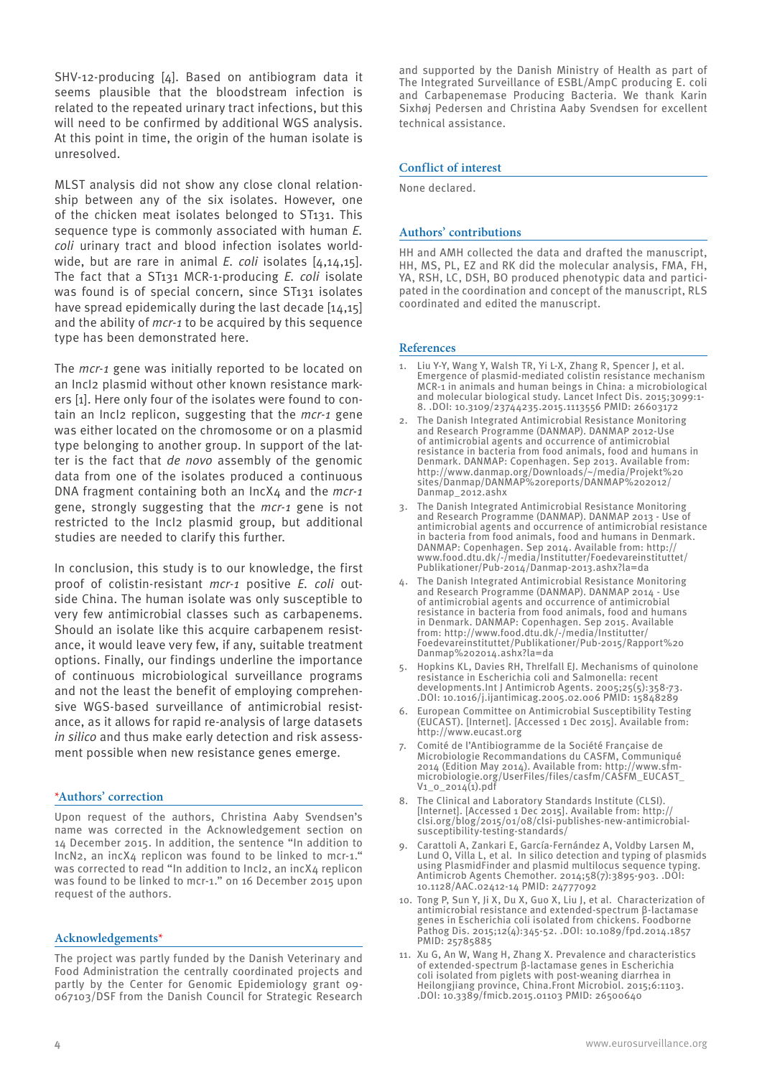SHV-12-producing [4]. Based on antibiogram data it seems plausible that the bloodstream infection is related to the repeated urinary tract infections, but this will need to be confirmed by additional WGS analysis. At this point in time, the origin of the human isolate is unresolved.

MLST analysis did not show any close clonal relationship between any of the six isolates. However, one of the chicken meat isolates belonged to ST131. This sequence type is commonly associated with human *E. coli* urinary tract and blood infection isolates worldwide, but are rare in animal *E. coli* isolates [4,14,15]. The fact that a ST131 MCR-1-producing *E. coli* isolate was found is of special concern, since ST131 isolates have spread epidemically during the last decade [14,15] and the ability of *mcr-1* to be acquired by this sequence type has been demonstrated here.

The *mcr-1* gene was initially reported to be located on an IncI2 plasmid without other known resistance markers [1]. Here only four of the isolates were found to contain an IncI2 replicon, suggesting that the *mcr-1* gene was either located on the chromosome or on a plasmid type belonging to another group. In support of the latter is the fact that *de novo* assembly of the genomic data from one of the isolates produced a continuous DNA fragment containing both an IncX4 and the *mcr-1* gene, strongly suggesting that the *mcr-1* gene is not restricted to the IncI2 plasmid group, but additional studies are needed to clarify this further.

In conclusion, this study is to our knowledge, the first proof of colistin-resistant *mcr-1* positive *E. coli* outside China. The human isolate was only susceptible to very few antimicrobial classes such as carbapenems. Should an isolate like this acquire carbapenem resistance, it would leave very few, if any, suitable treatment options. Finally, our findings underline the importance of continuous microbiological surveillance programs and not the least the benefit of employing comprehensive WGS-based surveillance of antimicrobial resistance, as it allows for rapid re-analysis of large datasets *in silico* and thus make early detection and risk assessment possible when new resistance genes emerge.

## **\*Authors' correction**

Upon request of the authors, Christina Aaby Svendsen's name was corrected in the Acknowledgement section on 14 December 2015. In addition, the sentence "In addition to IncN2, an incX4 replicon was found to be linked to mcr-1." was corrected to read "In addition to IncI2, an incX4 replicon was found to be linked to mcr-1." on 16 December 2015 upon request of the authors.

#### **Acknowledgements\***

The project was partly funded by the Danish Veterinary and Food Administration the centrally coordinated projects and partly by the Center for Genomic Epidemiology grant 09- 067103/DSF from the Danish Council for Strategic Research

and supported by the Danish Ministry of Health as part of The Integrated Surveillance of ESBL/AmpC producing E. coli and Carbapenemase Producing Bacteria. We thank Karin Sixhøj Pedersen and Christina Aaby Svendsen for excellent technical assistance.

#### **Conflict of interest**

None declared.

#### **Authors' contributions**

HH and AMH collected the data and drafted the manuscript, HH, MS, PL, EZ and RK did the molecular analysis, FMA, FH, YA, RSH, LC, DSH, BO produced phenotypic data and participated in the coordination and concept of the manuscript, RLS coordinated and edited the manuscript.

#### **References**

- Liu Y-Y, Wang Y, Walsh TR, Yi L-X, Zhang R, Spencer J, et al. Emergence of plasmid-mediated colistin resistance mechanism MCR-1 in animals and human beings in China: a microbiological and molecular biological study. Lancet Infect Dis. 2015;3099:1- 8. .DOI: 10.3109/23744235.2015.1113556 PMID: 26603172
- 2. The Danish Integrated Antimicrobial Resistance Monitoring and Research Programme (DANMAP). DANMAP 2012-Use of antimicrobial agents and occurrence of antimicrobial resistance in bacteria from food animals, food and humans in Denmark. DANMAP: Copenhagen. Sep 2013. Available from: http://www.danmap.org/Downloads/~/media/Projekt%20 sites/Danmap/DANMAP%20reports/DANMAP%202012/ Danmap\_2012.ashx
- 3. The Danish Integrated Antimicrobial Resistance Monitoring and Research Programme (DANMAP). DANMAP 2013 - Use of antimicrobial agents and occurrence of antimicrobial resistance in bacteria from food animals, food and humans in Denmark. DANMAP: Copenhagen. Sep 2014. Available from: http:// www.food.dtu.dk/-/media/Institutter/Foedevareinstituttet/ Publikationer/Pub-2014/Danmap-2013.ashx?la=da
- 4. The Danish Integrated Antimicrobial Resistance Monitoring and Research Programme (DANMAP). DANMAP 2014 - Use of antimicrobial agents and occurrence of antimicrobial resistance in bacteria from food animals, food and humans in Denmark. DANMAP: Copenhagen. Sep 2015. Available from: http://www.food.dtu.dk/-/media/Institutter/ Foedevareinstituttet/Publikationer/Pub-2015/Rapport%20 Danmap%202014.ashx?la=da
- 5. Hopkins KL, Davies RH, Threlfall EJ. Mechanisms of quinolone resistance in Escherichia coli and Salmonella: recent developments.Int J Antimicrob Agents. 2005;25(5):358-73. .DOI: 10.1016/j.ijantimicag.2005.02.006 PMID: 15848289
- 6. European Committee on Antimicrobial Susceptibility Testing (EUCAST). [Internet]. [Accessed 1 Dec 2015]. Available from: http://www.eucast.org
- 7. Comité de l'Antibiogramme de la Société Française de Microbiologie Recommandations du CASFM, Communiqué 2014 (Edition May 2014). Available from: http://www.sfmmicrobiologie.org/UserFiles/files/casfm/CASFM\_EUCAST\_ V1\_0\_2014(1).pdf
- The Clinical and Laboratory Standards Institute (CLSI). [Internet]. [Accessed 1 Dec 2015]. Available from: http: clsi.org/blog/2015/01/08/clsi-publishes-new-antimicrobialsusceptibility-testing-standards/
- 9. Carattoli A, Zankari E, García-Fernández A, Voldby Larsen M, Lund O, Villa L, et al. In silico detection and typing of plasmids using PlasmidFinder and plasmid multilocus sequence typing. Antimicrob Agents Chemother. 2014;58(7):3895-903. .DOI: 10.1128/AAC.02412-14 PMID: 24777092
- 10. Tong P, Sun Y, Ji X, Du X, Guo X, Liu J, et al. Characterization of antimicrobial resistance and extended-spectrum β-lactamase genes in Escherichia coli isolated from chickens. Foodborne Pathog Dis. 2015;12(4):345-52. .DOI: 10.1089/fpd.2014.1857 PMID: 25785885
- 11. Xu G, An W, Wang H, Zhang X. Prevalence and characteristics of extended-spectrum β-lactamase genes in Escherichia coli isolated from piglets with post-weaning diarrhea in Heilongjiang province, China.Front Microbiol. 2015;6:1103. .DOI: 10.3389/fmicb.2015.01103 PMID: 26500640